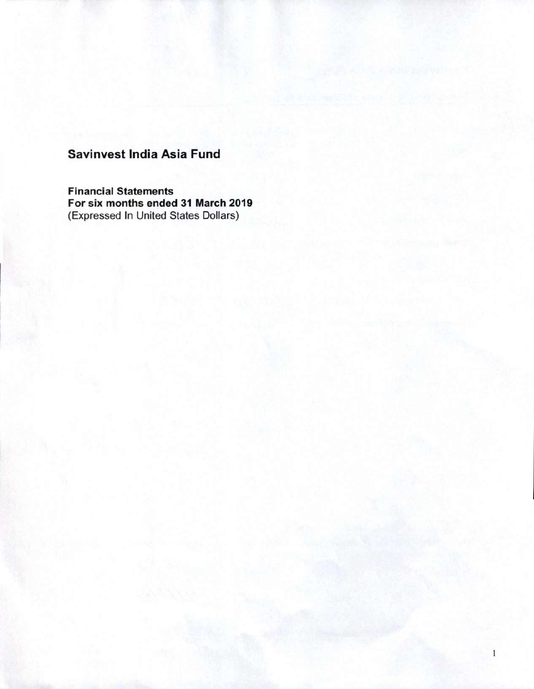**Financial Statements For six months ended 31 March 2019**  (Expressed In United States Dollars)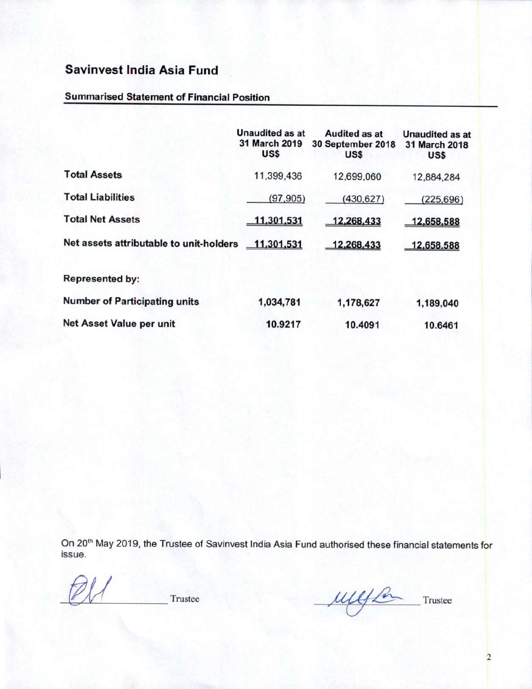#### **Summarised Statement of Financial Position**

|                                                    | <b>Unaudited as at</b><br>31 March 2019<br>US\$ | Audited as at<br>30 September 2018<br>US\$ | <b>Unaudited as at</b><br>31 March 2018<br>US\$ |
|----------------------------------------------------|-------------------------------------------------|--------------------------------------------|-------------------------------------------------|
| <b>Total Assets</b>                                | 11,399,436                                      | 12,699,060                                 | 12,884,284                                      |
| <b>Total Liabilities</b>                           | (97, 905)                                       | (430, 627)                                 | (225, 696)                                      |
| <b>Total Net Assets</b>                            | 11,301,531                                      | 12,268,433                                 | 12,658,588                                      |
| Net assets attributable to unit-holders 11,301,531 |                                                 | 12,268,433                                 | 12,658,588                                      |
| <b>Represented by:</b>                             |                                                 |                                            |                                                 |
| <b>Number of Participating units</b>               | 1,034,781                                       | 1,178,627                                  | 1,189,040                                       |
| Net Asset Value per unit                           | 10.9217                                         | 10.4091                                    | 10.6461                                         |

On 20<sup>th</sup> May 2019, the Trustee of Savinvest India Asia Fund authorised these financial statements for issue.

Trustee

und for Trustee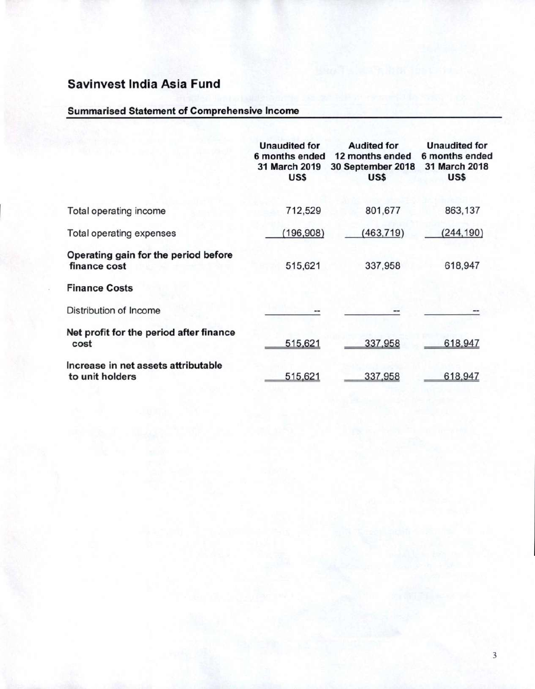### **Summarised Statement of Comprehensive Income**

|                                                        | <b>Unaudited for</b><br>6 months ended<br>31 March 2019<br>US\$ | <b>Audited for</b><br>12 months ended<br>30 September 2018<br>US\$ | <b>Unaudited for</b><br>6 months ended<br>31 March 2018<br>US\$ |
|--------------------------------------------------------|-----------------------------------------------------------------|--------------------------------------------------------------------|-----------------------------------------------------------------|
| Total operating income                                 | 712,529                                                         | 801,677                                                            | 863,137                                                         |
| Total operating expenses                               | (196, 908)                                                      | (463, 719)                                                         | (244, 190)                                                      |
| Operating gain for the period before<br>finance cost   | 515,621                                                         | 337,958                                                            | 618,947                                                         |
| <b>Finance Costs</b>                                   |                                                                 |                                                                    |                                                                 |
| Distribution of Income                                 |                                                                 |                                                                    |                                                                 |
| Net profit for the period after finance<br>cost        | 515,621                                                         | 337,958                                                            | 618,947                                                         |
| Increase in net assets attributable<br>to unit holders | 515,621                                                         | 337,958                                                            | 618,947                                                         |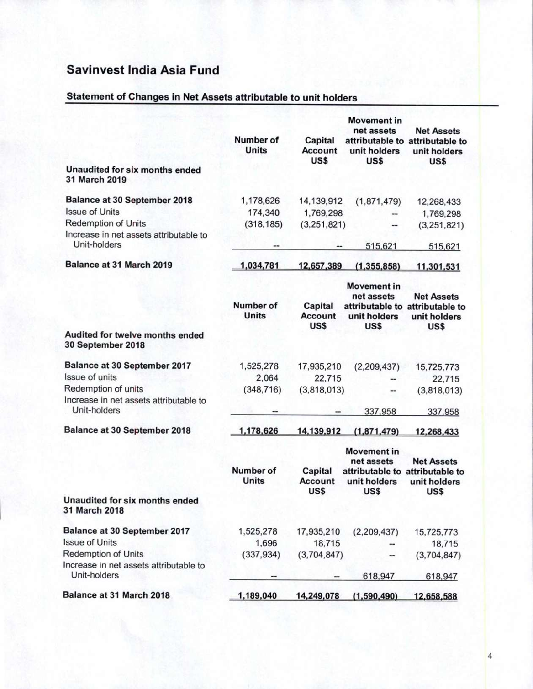## **Statement of Changes in Net Assets attributable to unit holders**

|                                                        | Number of<br>Units        | Capital<br><b>Account</b><br>US\$ | <b>Movement in</b><br>net assets<br>unit holders<br>US\$ | <b>Net Assets</b><br>attributable to attributable to<br>unit holders<br>US\$ |
|--------------------------------------------------------|---------------------------|-----------------------------------|----------------------------------------------------------|------------------------------------------------------------------------------|
| Unaudited for six months ended<br>31 March 2019        |                           |                                   |                                                          |                                                                              |
| Balance at 30 September 2018                           | 1,178,626                 | 14,139,912                        | (1,871,479)                                              | 12,268,433                                                                   |
| <b>Issue of Units</b>                                  | 174,340                   | 1,769,298                         |                                                          | 1,769,298                                                                    |
| Redemption of Units                                    | (318, 185)                | (3,251,821)                       |                                                          | (3,251,821)                                                                  |
| Increase in net assets attributable to<br>Unit-holders |                           | --                                | 515,621                                                  | 515,621                                                                      |
| Balance at 31 March 2019                               | 1,034,781                 | 12,657,389                        | (1, 355, 858)                                            | 11,301,531                                                                   |
|                                                        | Number of<br><b>Units</b> | Capital<br><b>Account</b><br>US\$ | <b>Movement</b> in<br>net assets<br>unit holders<br>US\$ | <b>Net Assets</b><br>attributable to attributable to<br>unit holders<br>US\$ |
| Audited for twelve months ended<br>30 September 2018   |                           |                                   |                                                          |                                                                              |
| Balance at 30 September 2017                           | 1,525,278                 | 17,935,210                        | (2,209,437)                                              | 15,725,773                                                                   |
| Issue of units                                         | 2,064                     | 22,715                            |                                                          | 22,715                                                                       |
| Redemption of units                                    | (348, 716)                | (3,818,013)                       |                                                          | (3,818,013)                                                                  |
| Increase in net assets attributable to<br>Unit-holders |                           |                                   | 337,958                                                  | 337,958                                                                      |
| Balance at 30 September 2018                           | 1,178,626                 | 14,139,912                        | (1,871,479)                                              | 12,268,433                                                                   |
|                                                        | Number of<br><b>Units</b> | Capital<br><b>Account</b><br>US\$ | <b>Movement</b> in<br>net assets<br>unit holders<br>US\$ | <b>Net Assets</b><br>attributable to attributable to<br>unit holders<br>US\$ |
| Unaudited for six months ended<br>31 March 2018        |                           |                                   |                                                          |                                                                              |
| Balance at 30 September 2017                           | 1,525,278                 | 17,935,210                        | (2,209,437)                                              | 15,725,773                                                                   |
| <b>Issue of Units</b>                                  | 1,696                     | 18,715                            |                                                          | 18,715                                                                       |
| <b>Redemption of Units</b>                             | (337, 934)                | (3,704,847)                       | --                                                       | (3,704,847)                                                                  |
| Increase in net assets attributable to<br>Unit-holders |                           |                                   | 618,947                                                  | 618,947                                                                      |
| Balance at 31 March 2018                               | 1,189,040                 | 14,249,078                        | (1,590,490)                                              | 12,658,588                                                                   |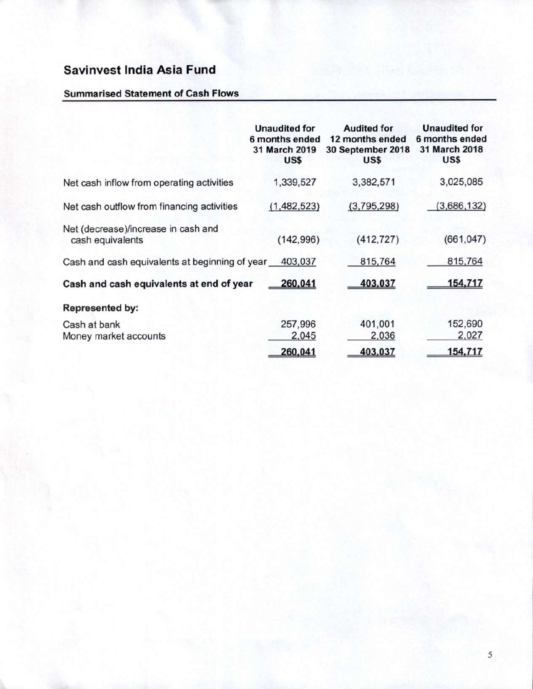### **Summarised Statement of Cash Flows**

|                                                         | <b>Unaudited for</b><br>6 months ended<br>31 March 2019<br>US\$ | <b>Audited for</b><br>12 months ended<br>30 September 2018<br>US\$ | <b>Unaudited for</b><br>6 months ended<br>31 March 2018<br>US\$ |
|---------------------------------------------------------|-----------------------------------------------------------------|--------------------------------------------------------------------|-----------------------------------------------------------------|
| Net cash inflow from operating activities               | 1,339,527                                                       | 3,382,571                                                          | 3,025,085                                                       |
| Net cash outflow from financing activities              | (1,482,523)                                                     | (3,795,298)                                                        | (3,686,132)                                                     |
| Net (decrease)/increase in cash and<br>cash equivalents | (142,996)                                                       | (412, 727)                                                         | (661, 047)                                                      |
| Cash and cash equivalents at beginning of year          | 403,037                                                         | 815,764                                                            | 815,764                                                         |
| Cash and cash equivalents at end of year                | 260,041                                                         | 403,037                                                            | 154,717                                                         |
| <b>Represented by:</b>                                  |                                                                 |                                                                    |                                                                 |
| Cash at bank<br>Money market accounts                   | 257,996<br>2,045                                                | 401,001<br>2,036                                                   | 152,690<br>2,027                                                |
|                                                         | 260.041                                                         | 403,037                                                            | 154,717                                                         |